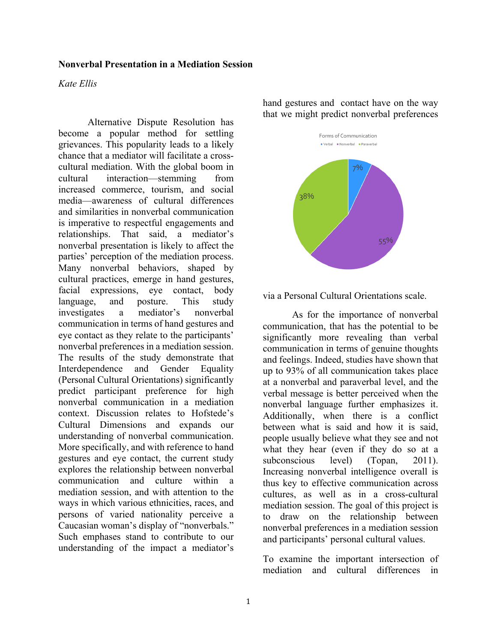#### **Nonverbal Presentation in a Mediation Session**

#### *Kate Ellis*

Alternative Dispute Resolution has become a popular method for settling grievances. This popularity leads to a likely chance that a mediator will facilitate a crosscultural mediation. With the global boom in cultural interaction—stemming from increased commerce, tourism, and social media—awareness of cultural differences and similarities in nonverbal communication is imperative to respectful engagements and relationships. That said, a mediator's nonverbal presentation is likely to affect the parties' perception of the mediation process. Many nonverbal behaviors, shaped by cultural practices, emerge in hand gestures, facial expressions, eye contact, body language, and posture. This study investigates a mediator's nonverbal communication in terms of hand gestures and eye contact as they relate to the participants' nonverbal preferences in a mediation session. The results of the study demonstrate that Interdependence and Gender Equality (Personal Cultural Orientations) significantly predict participant preference for high nonverbal communication in a mediation context. Discussion relates to Hofstede's Cultural Dimensions and expands our understanding of nonverbal communication. More specifically, and with reference to hand gestures and eye contact, the current study explores the relationship between nonverbal communication and culture within a mediation session, and with attention to the ways in which various ethnicities, races, and persons of varied nationality perceive a Caucasian woman's display of "nonverbals." Such emphases stand to contribute to our understanding of the impact a mediator's

hand gestures and contact have on the way that we might predict nonverbal preferences



via a Personal Cultural Orientations scale.

As for the importance of nonverbal communication, that has the potential to be significantly more revealing than verbal communication in terms of genuine thoughts and feelings. Indeed, studies have shown that up to 93% of all communication takes place at a nonverbal and paraverbal level, and the verbal message is better perceived when the nonverbal language further emphasizes it. Additionally, when there is a conflict between what is said and how it is said, people usually believe what they see and not what they hear (even if they do so at a subconscious level) (Topan, 2011). Increasing nonverbal intelligence overall is thus key to effective communication across cultures, as well as in a cross-cultural mediation session. The goal of this project is to draw on the relationship between nonverbal preferences in a mediation session and participants' personal cultural values.

To examine the important intersection of mediation and cultural differences in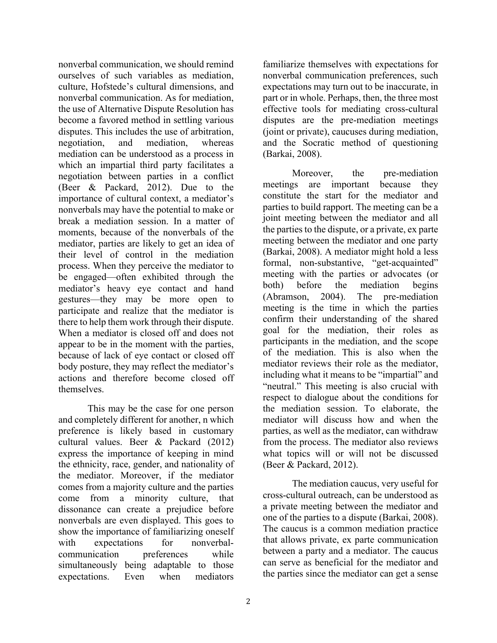nonverbal communication, we should remind ourselves of such variables as mediation, culture, Hofstede's cultural dimensions, and nonverbal communication. As for mediation, the use of Alternative Dispute Resolution has become a favored method in settling various disputes. This includes the use of arbitration, negotiation, and mediation, whereas mediation can be understood as a process in which an impartial third party facilitates a negotiation between parties in a conflict (Beer & Packard, 2012). Due to the importance of cultural context, a mediator's nonverbals may have the potential to make or break a mediation session. In a matter of moments, because of the nonverbals of the mediator, parties are likely to get an idea of their level of control in the mediation process. When they perceive the mediator to be engaged—often exhibited through the mediator's heavy eye contact and hand gestures—they may be more open to participate and realize that the mediator is there to help them work through their dispute. When a mediator is closed off and does not appear to be in the moment with the parties, because of lack of eye contact or closed off body posture, they may reflect the mediator's actions and therefore become closed off themselves.

This may be the case for one person and completely different for another, n which preference is likely based in customary cultural values. Beer & Packard (2012) express the importance of keeping in mind the ethnicity, race, gender, and nationality of the mediator. Moreover, if the mediator comes from a majority culture and the parties come from a minority culture, that dissonance can create a prejudice before nonverbals are even displayed. This goes to show the importance of familiarizing oneself with expectations for nonverbalcommunication preferences while simultaneously being adaptable to those expectations. Even when mediators

familiarize themselves with expectations for nonverbal communication preferences, such expectations may turn out to be inaccurate, in part or in whole. Perhaps, then, the three most effective tools for mediating cross-cultural disputes are the pre-mediation meetings (joint or private), caucuses during mediation, and the Socratic method of questioning (Barkai, 2008).

Moreover, the pre-mediation meetings are important because they constitute the start for the mediator and parties to build rapport. The meeting can be a joint meeting between the mediator and all the parties to the dispute, or a private, ex parte meeting between the mediator and one party (Barkai, 2008). A mediator might hold a less formal, non-substantive, "get-acquainted" meeting with the parties or advocates (or both) before the mediation begins (Abramson, 2004). The pre-mediation meeting is the time in which the parties confirm their understanding of the shared goal for the mediation, their roles as participants in the mediation, and the scope of the mediation. This is also when the mediator reviews their role as the mediator, including what it means to be "impartial" and "neutral." This meeting is also crucial with respect to dialogue about the conditions for the mediation session. To elaborate, the mediator will discuss how and when the parties, as well as the mediator, can withdraw from the process. The mediator also reviews what topics will or will not be discussed (Beer & Packard, 2012).

The mediation caucus, very useful for cross-cultural outreach, can be understood as a private meeting between the mediator and one of the parties to a dispute (Barkai, 2008). The caucus is a common mediation practice that allows private, ex parte communication between a party and a mediator. The caucus can serve as beneficial for the mediator and the parties since the mediator can get a sense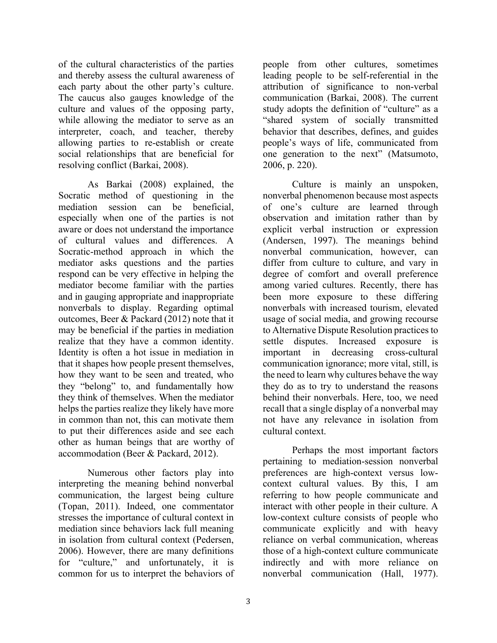of the cultural characteristics of the parties and thereby assess the cultural awareness of each party about the other party's culture. The caucus also gauges knowledge of the culture and values of the opposing party, while allowing the mediator to serve as an interpreter, coach, and teacher, thereby allowing parties to re-establish or create social relationships that are beneficial for resolving conflict (Barkai, 2008).

As Barkai (2008) explained, the Socratic method of questioning in the mediation session can be beneficial, especially when one of the parties is not aware or does not understand the importance of cultural values and differences. A Socratic-method approach in which the mediator asks questions and the parties respond can be very effective in helping the mediator become familiar with the parties and in gauging appropriate and inappropriate nonverbals to display. Regarding optimal outcomes, Beer & Packard (2012) note that it may be beneficial if the parties in mediation realize that they have a common identity. Identity is often a hot issue in mediation in that it shapes how people present themselves, how they want to be seen and treated, who they "belong" to, and fundamentally how they think of themselves. When the mediator helps the parties realize they likely have more in common than not, this can motivate them to put their differences aside and see each other as human beings that are worthy of accommodation (Beer & Packard, 2012).

Numerous other factors play into interpreting the meaning behind nonverbal communication, the largest being culture (Topan, 2011). Indeed, one commentator stresses the importance of cultural context in mediation since behaviors lack full meaning in isolation from cultural context (Pedersen, 2006). However, there are many definitions for "culture," and unfortunately, it is common for us to interpret the behaviors of people from other cultures, sometimes leading people to be self-referential in the attribution of significance to non-verbal communication (Barkai, 2008). The current study adopts the definition of "culture" as a "shared system of socially transmitted behavior that describes, defines, and guides people's ways of life, communicated from one generation to the next" (Matsumoto, 2006, p. 220).

Culture is mainly an unspoken, nonverbal phenomenon because most aspects of one's culture are learned through observation and imitation rather than by explicit verbal instruction or expression (Andersen, 1997). The meanings behind nonverbal communication, however, can differ from culture to culture, and vary in degree of comfort and overall preference among varied cultures. Recently, there has been more exposure to these differing nonverbals with increased tourism, elevated usage of social media, and growing recourse to Alternative Dispute Resolution practices to settle disputes. Increased exposure is important in decreasing cross-cultural communication ignorance; more vital, still, is the need to learn why cultures behave the way they do as to try to understand the reasons behind their nonverbals. Here, too, we need recall that a single display of a nonverbal may not have any relevance in isolation from cultural context.

Perhaps the most important factors pertaining to mediation-session nonverbal preferences are high-context versus lowcontext cultural values. By this, I am referring to how people communicate and interact with other people in their culture. A low-context culture consists of people who communicate explicitly and with heavy reliance on verbal communication, whereas those of a high-context culture communicate indirectly and with more reliance on nonverbal communication (Hall, 1977).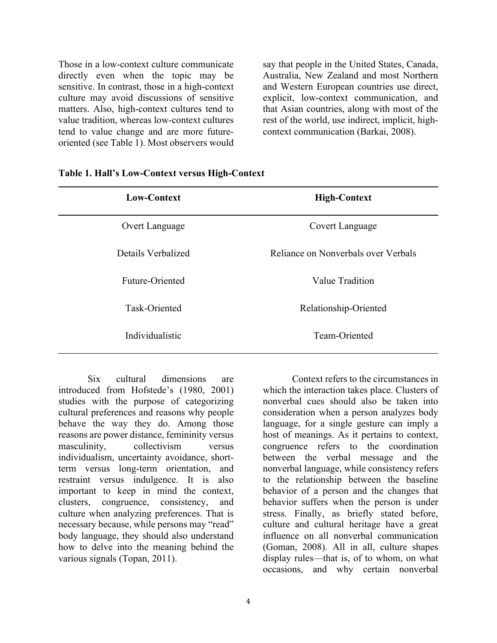Those in a low-context culture communicate directly even when the topic may be sensitive. In contrast, those in a high-context culture may avoid discussions of sensitive matters. Also, high-context cultures tend to value tradition, whereas low-context cultures tend to value change and are more futureoriented (see Table 1). Most observers would say that people in the United States, Canada, Australia, New Zealand and most Northern and Western European countries use direct, explicit, low-context communication, and that Asian countries, along with most of the rest of the world, use indirect, implicit, highcontext communication (Barkai, 2008).

| <b>Low-Context</b> | <b>High-Context</b>                 |
|--------------------|-------------------------------------|
| Overt Language     | Covert Language                     |
| Details Verbalized | Reliance on Nonverbals over Verbals |
| Future-Oriented    | Value Tradition                     |
| Task-Oriented      | Relationship-Oriented               |
| Individualistic    | Team-Oriented                       |

| Table 1. Hall's Low-Context versus High-Context |  |
|-------------------------------------------------|--|
|-------------------------------------------------|--|

Six cultural dimensions are introduced from Hofstede's (1980, 2001) studies with the purpose of categorizing cultural preferences and reasons why people behave the way they do. Among those reasons are power distance, femininity versus masculinity, collectivism versus individualism, uncertainty avoidance, shortterm versus long-term orientation, and restraint versus indulgence. It is also important to keep in mind the context, clusters, congruence, consistency, and culture when analyzing preferences. That is necessary because, while persons may "read" body language, they should also understand how to delve into the meaning behind the various signals (Topan, 2011).

Context refers to the circumstances in which the interaction takes place. Clusters of nonverbal cues should also be taken into consideration when a person analyzes body language, for a single gesture can imply a host of meanings. As it pertains to context, congruence refers to the coordination between the verbal message and the nonverbal language, while consistency refers to the relationship between the baseline behavior of a person and the changes that behavior suffers when the person is under stress. Finally, as briefly stated before, culture and cultural heritage have a great influence on all nonverbal communication (Goman, 2008). All in all, culture shapes display rules—that is, of to whom, on what occasions, and why certain nonverbal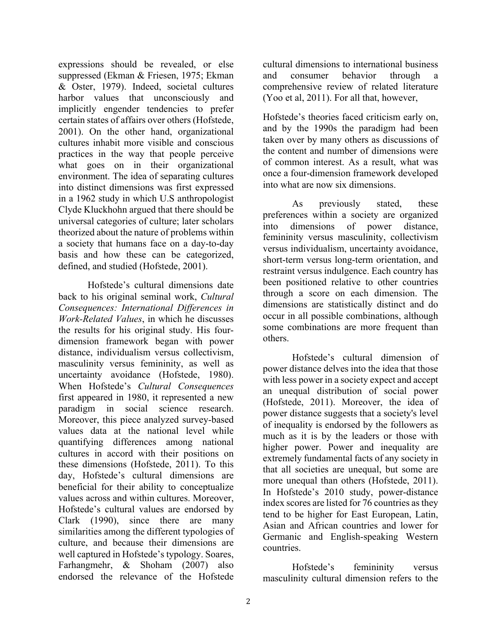expressions should be revealed, or else suppressed (Ekman & Friesen, 1975; Ekman & Oster, 1979). Indeed, societal cultures harbor values that unconsciously and implicitly engender tendencies to prefer certain states of affairs over others (Hofstede, 2001). On the other hand, organizational cultures inhabit more visible and conscious practices in the way that people perceive what goes on in their organizational environment. The idea of separating cultures into distinct dimensions was first expressed in a 1962 study in which U.S anthropologist Clyde Kluckhohn argued that there should be universal categories of culture; later scholars theorized about the nature of problems within a society that humans face on a day-to-day basis and how these can be categorized, defined, and studied (Hofstede, 2001).

Hofstede's cultural dimensions date back to his original seminal work, *Cultural Consequences: International Differences in Work-Related Values*, in which he discusses the results for his original study. His fourdimension framework began with power distance, individualism versus collectivism, masculinity versus femininity, as well as uncertainty avoidance (Hofstede, 1980). When Hofstede's *Cultural Consequences* first appeared in 1980, it represented a new paradigm in social science research. Moreover, this piece analyzed survey-based values data at the national level while quantifying differences among national cultures in accord with their positions on these dimensions (Hofstede, 2011). To this day, Hofstede's cultural dimensions are beneficial for their ability to conceptualize values across and within cultures. Moreover, Hofstede's cultural values are endorsed by Clark (1990), since there are many similarities among the different typologies of culture, and because their dimensions are well captured in Hofstede's typology. Soares, Farhangmehr, & Shoham (2007) also endorsed the relevance of the Hofstede

cultural dimensions to international business and consumer behavior through a comprehensive review of related literature (Yoo et al, 2011). For all that, however,

Hofstede's theories faced criticism early on, and by the 1990s the paradigm had been taken over by many others as discussions of the content and number of dimensions were of common interest. As a result, what was once a four-dimension framework developed into what are now six dimensions.

As previously stated, these preferences within a society are organized into dimensions of power distance, femininity versus masculinity, collectivism versus individualism, uncertainty avoidance, short-term versus long-term orientation, and restraint versus indulgence. Each country has been positioned relative to other countries through a score on each dimension. The dimensions are statistically distinct and do occur in all possible combinations, although some combinations are more frequent than others.

Hofstede's cultural dimension of power distance delves into the idea that those with less power in a society expect and accept an unequal distribution of social power (Hofstede, 2011). Moreover, the idea of power distance suggests that a society's level of inequality is endorsed by the followers as much as it is by the leaders or those with higher power. Power and inequality are extremely fundamental facts of any society in that all societies are unequal, but some are more unequal than others (Hofstede, 2011). In Hofstede's 2010 study, power-distance index scores are listed for 76 countries as they tend to be higher for East European, Latin, Asian and African countries and lower for Germanic and English-speaking Western countries.

Hofstede's femininity versus masculinity cultural dimension refers to the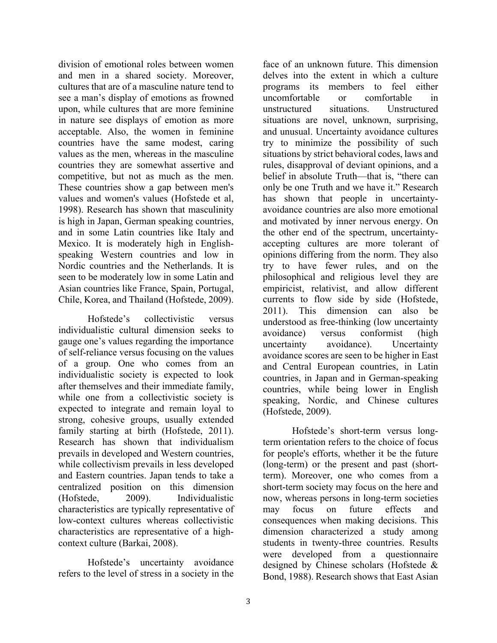division of emotional roles between women and men in a shared society. Moreover, cultures that are of a masculine nature tend to see a man's display of emotions as frowned upon, while cultures that are more feminine in nature see displays of emotion as more acceptable. Also, the women in feminine countries have the same modest, caring values as the men, whereas in the masculine countries they are somewhat assertive and competitive, but not as much as the men. These countries show a gap between men's values and women's values (Hofstede et al, 1998). Research has shown that masculinity is high in Japan, German speaking countries, and in some Latin countries like Italy and Mexico. It is moderately high in Englishspeaking Western countries and low in Nordic countries and the Netherlands. It is seen to be moderately low in some Latin and Asian countries like France, Spain, Portugal, Chile, Korea, and Thailand (Hofstede, 2009).

Hofstede's collectivistic versus individualistic cultural dimension seeks to gauge one's values regarding the importance of self-reliance versus focusing on the values of a group. One who comes from an individualistic society is expected to look after themselves and their immediate family, while one from a collectivistic society is expected to integrate and remain loyal to strong, cohesive groups, usually extended family starting at birth (Hofstede, 2011). Research has shown that individualism prevails in developed and Western countries, while collectivism prevails in less developed and Eastern countries. Japan tends to take a centralized position on this dimension (Hofstede, 2009). Individualistic characteristics are typically representative of low-context cultures whereas collectivistic characteristics are representative of a highcontext culture (Barkai, 2008).

Hofstede's uncertainty avoidance refers to the level of stress in a society in the

face of an unknown future. This dimension delves into the extent in which a culture programs its members to feel either uncomfortable or comfortable in unstructured situations. Unstructured situations are novel, unknown, surprising, and unusual. Uncertainty avoidance cultures try to minimize the possibility of such situations by strict behavioral codes, laws and rules, disapproval of deviant opinions, and a belief in absolute Truth—that is, "there can only be one Truth and we have it." Research has shown that people in uncertaintyavoidance countries are also more emotional and motivated by inner nervous energy. On the other end of the spectrum, uncertaintyaccepting cultures are more tolerant of opinions differing from the norm. They also try to have fewer rules, and on the philosophical and religious level they are empiricist, relativist, and allow different currents to flow side by side (Hofstede, 2011). This dimension can also be understood as free-thinking (low uncertainty avoidance) versus conformist (high uncertainty avoidance). Uncertainty avoidance scores are seen to be higher in East and Central European countries, in Latin countries, in Japan and in German-speaking countries, while being lower in English speaking, Nordic, and Chinese cultures (Hofstede, 2009).

Hofstede's short-term versus longterm orientation refers to the choice of focus for people's efforts, whether it be the future (long-term) or the present and past (shortterm). Moreover, one who comes from a short-term society may focus on the here and now, whereas persons in long-term societies may focus on future effects and consequences when making decisions. This dimension characterized a study among students in twenty-three countries. Results were developed from a questionnaire designed by Chinese scholars (Hofstede & Bond, 1988). Research shows that East Asian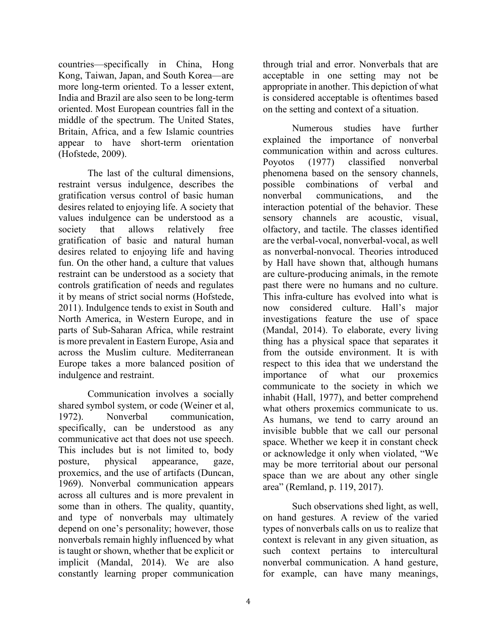countries—specifically in China, Hong Kong, Taiwan, Japan, and South Korea—are more long-term oriented. To a lesser extent, India and Brazil are also seen to be long-term oriented. Most European countries fall in the middle of the spectrum. The United States, Britain, Africa, and a few Islamic countries appear to have short-term orientation (Hofstede, 2009).

The last of the cultural dimensions, restraint versus indulgence, describes the gratification versus control of basic human desires related to enjoying life. A society that values indulgence can be understood as a society that allows relatively free gratification of basic and natural human desires related to enjoying life and having fun. On the other hand, a culture that values restraint can be understood as a society that controls gratification of needs and regulates it by means of strict social norms (Hofstede, 2011). Indulgence tends to exist in South and North America, in Western Europe, and in parts of Sub-Saharan Africa, while restraint is more prevalent in Eastern Europe, Asia and across the Muslim culture. Mediterranean Europe takes a more balanced position of indulgence and restraint.

Communication involves a socially shared symbol system, or code (Weiner et al, 1972). Nonverbal communication, specifically, can be understood as any communicative act that does not use speech. This includes but is not limited to, body posture, physical appearance, gaze, proxemics, and the use of artifacts (Duncan, 1969). Nonverbal communication appears across all cultures and is more prevalent in some than in others. The quality, quantity, and type of nonverbals may ultimately depend on one's personality; however, those nonverbals remain highly influenced by what is taught or shown, whether that be explicit or implicit (Mandal, 2014). We are also constantly learning proper communication through trial and error. Nonverbals that are acceptable in one setting may not be appropriate in another. This depiction of what is considered acceptable is oftentimes based on the setting and context of a situation.

Numerous studies have further explained the importance of nonverbal communication within and across cultures. Poyotos (1977) classified nonverbal phenomena based on the sensory channels, possible combinations of verbal and nonverbal communications, and the interaction potential of the behavior. These sensory channels are acoustic, visual, olfactory, and tactile. The classes identified are the verbal-vocal, nonverbal-vocal, as well as nonverbal-nonvocal. Theories introduced by Hall have shown that, although humans are culture-producing animals, in the remote past there were no humans and no culture. This infra-culture has evolved into what is now considered culture. Hall's major investigations feature the use of space (Mandal, 2014). To elaborate, every living thing has a physical space that separates it from the outside environment. It is with respect to this idea that we understand the importance of what our proxemics communicate to the society in which we inhabit (Hall, 1977), and better comprehend what others proxemics communicate to us. As humans, we tend to carry around an invisible bubble that we call our personal space. Whether we keep it in constant check or acknowledge it only when violated, "We may be more territorial about our personal space than we are about any other single area" (Remland, p. 119, 2017).

Such observations shed light, as well, on hand gestures. A review of the varied types of nonverbals calls on us to realize that context is relevant in any given situation, as such context pertains to intercultural nonverbal communication. A hand gesture, for example, can have many meanings,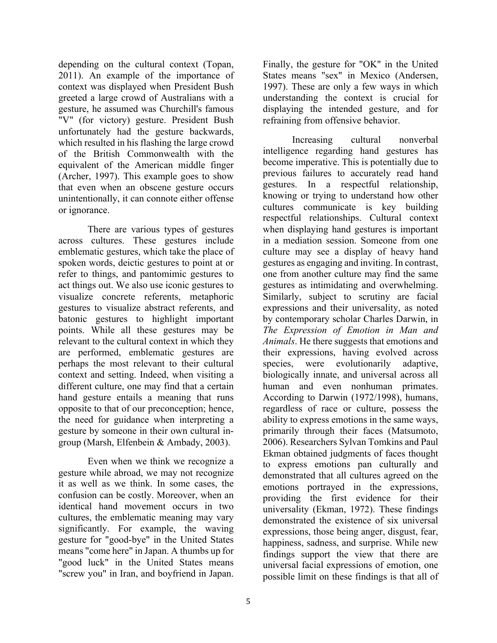depending on the cultural context (Topan, 2011). An example of the importance of context was displayed when President Bush greeted a large crowd of Australians with a gesture, he assumed was Churchill's famous "V" (for victory) gesture. President Bush unfortunately had the gesture backwards, which resulted in his flashing the large crowd of the British Commonwealth with the equivalent of the American middle finger (Archer, 1997). This example goes to show that even when an obscene gesture occurs unintentionally, it can connote either offense or ignorance.

There are various types of gestures across cultures. These gestures include emblematic gestures, which take the place of spoken words, deictic gestures to point at or refer to things, and pantomimic gestures to act things out. We also use iconic gestures to visualize concrete referents, metaphoric gestures to visualize abstract referents, and batonic gestures to highlight important points. While all these gestures may be relevant to the cultural context in which they are performed, emblematic gestures are perhaps the most relevant to their cultural context and setting. Indeed, when visiting a different culture, one may find that a certain hand gesture entails a meaning that runs opposite to that of our preconception; hence, the need for guidance when interpreting a gesture by someone in their own cultural ingroup (Marsh, Elfenbein & Ambady, 2003).

Even when we think we recognize a gesture while abroad, we may not recognize it as well as we think. In some cases, the confusion can be costly. Moreover, when an identical hand movement occurs in two cultures, the emblematic meaning may vary significantly. For example, the waving gesture for "good-bye" in the United States means "come here" in Japan. A thumbs up for "good luck" in the United States means "screw you" in Iran, and boyfriend in Japan.

Finally, the gesture for "OK" in the United States means "sex" in Mexico (Andersen, 1997). These are only a few ways in which understanding the context is crucial for displaying the intended gesture, and for refraining from offensive behavior.

Increasing cultural nonverbal intelligence regarding hand gestures has become imperative. This is potentially due to previous failures to accurately read hand gestures. In a respectful relationship, knowing or trying to understand how other cultures communicate is key building respectful relationships. Cultural context when displaying hand gestures is important in a mediation session. Someone from one culture may see a display of heavy hand gestures as engaging and inviting. In contrast, one from another culture may find the same gestures as intimidating and overwhelming. Similarly, subject to scrutiny are facial expressions and their universality, as noted by contemporary scholar Charles Darwin, in *The Expression of Emotion in Man and Animals*. He there suggests that emotions and their expressions, having evolved across species, were evolutionarily adaptive, biologically innate, and universal across all human and even nonhuman primates. According to Darwin (1972/1998), humans, regardless of race or culture, possess the ability to express emotions in the same ways, primarily through their faces (Matsumoto, 2006). Researchers Sylvan Tomkins and Paul Ekman obtained judgments of faces thought to express emotions pan culturally and demonstrated that all cultures agreed on the emotions portrayed in the expressions, providing the first evidence for their universality (Ekman, 1972). These findings demonstrated the existence of six universal expressions, those being anger, disgust, fear, happiness, sadness, and surprise. While new findings support the view that there are universal facial expressions of emotion, one possible limit on these findings is that all of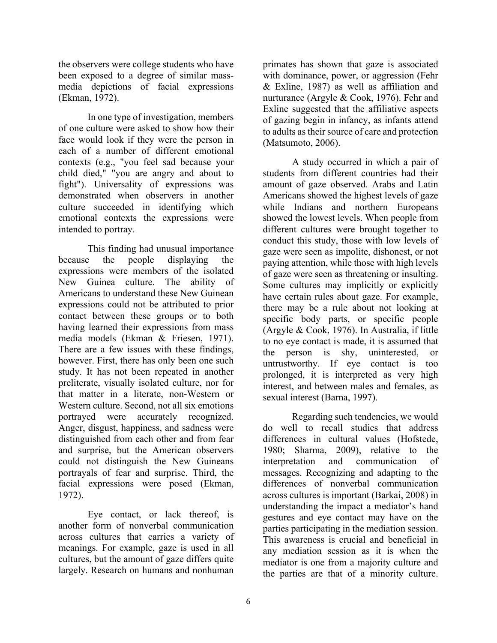the observers were college students who have been exposed to a degree of similar massmedia depictions of facial expressions (Ekman, 1972).

In one type of investigation, members of one culture were asked to show how their face would look if they were the person in each of a number of different emotional contexts (e.g., "you feel sad because your child died," "you are angry and about to fight"). Universality of expressions was demonstrated when observers in another culture succeeded in identifying which emotional contexts the expressions were intended to portray.

This finding had unusual importance because the people displaying the expressions were members of the isolated New Guinea culture. The ability of Americans to understand these New Guinean expressions could not be attributed to prior contact between these groups or to both having learned their expressions from mass media models (Ekman & Friesen, 1971). There are a few issues with these findings, however. First, there has only been one such study. It has not been repeated in another preliterate, visually isolated culture, nor for that matter in a literate, non-Western or Western culture. Second, not all six emotions portrayed were accurately recognized. Anger, disgust, happiness, and sadness were distinguished from each other and from fear and surprise, but the American observers could not distinguish the New Guineans portrayals of fear and surprise. Third, the facial expressions were posed (Ekman, 1972).

Eye contact, or lack thereof, is another form of nonverbal communication across cultures that carries a variety of meanings. For example, gaze is used in all cultures, but the amount of gaze differs quite largely. Research on humans and nonhuman

primates has shown that gaze is associated with dominance, power, or aggression (Fehr & Exline, 1987) as well as affiliation and nurturance (Argyle & Cook, 1976). Fehr and Exline suggested that the affiliative aspects of gazing begin in infancy, as infants attend to adults as their source of care and protection (Matsumoto, 2006).

A study occurred in which a pair of students from different countries had their amount of gaze observed. Arabs and Latin Americans showed the highest levels of gaze while Indians and northern Europeans showed the lowest levels. When people from different cultures were brought together to conduct this study, those with low levels of gaze were seen as impolite, dishonest, or not paying attention, while those with high levels of gaze were seen as threatening or insulting. Some cultures may implicitly or explicitly have certain rules about gaze. For example, there may be a rule about not looking at specific body parts, or specific people (Argyle & Cook, 1976). In Australia, if little to no eye contact is made, it is assumed that the person is shy, uninterested, or untrustworthy. If eye contact is too prolonged, it is interpreted as very high interest, and between males and females, as sexual interest (Barna, 1997).

Regarding such tendencies, we would do well to recall studies that address differences in cultural values (Hofstede, 1980; Sharma, 2009), relative to the interpretation and communication of messages. Recognizing and adapting to the differences of nonverbal communication across cultures is important (Barkai, 2008) in understanding the impact a mediator's hand gestures and eye contact may have on the parties participating in the mediation session. This awareness is crucial and beneficial in any mediation session as it is when the mediator is one from a majority culture and the parties are that of a minority culture.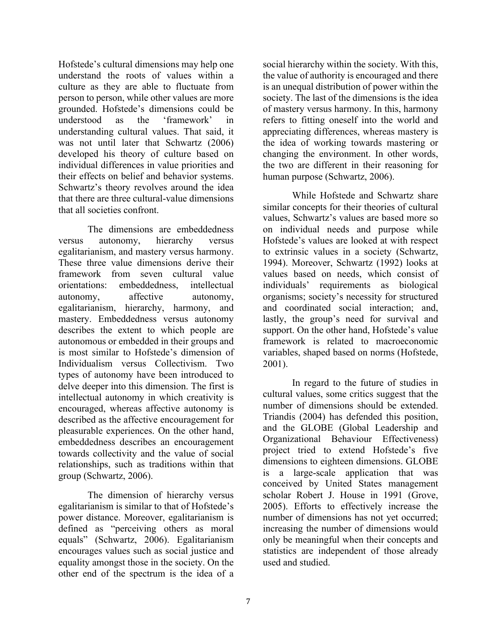Hofstede's cultural dimensions may help one understand the roots of values within a culture as they are able to fluctuate from person to person, while other values are more grounded. Hofstede's dimensions could be understood as the 'framework' in understanding cultural values. That said, it was not until later that Schwartz (2006) developed his theory of culture based on individual differences in value priorities and their effects on belief and behavior systems. Schwartz's theory revolves around the idea that there are three cultural-value dimensions that all societies confront.

The dimensions are embeddedness versus autonomy, hierarchy versus egalitarianism, and mastery versus harmony. These three value dimensions derive their framework from seven cultural value orientations: embeddedness, intellectual autonomy, affective autonomy, egalitarianism, hierarchy, harmony, and mastery. Embeddedness versus autonomy describes the extent to which people are autonomous or embedded in their groups and is most similar to Hofstede's dimension of Individualism versus Collectivism. Two types of autonomy have been introduced to delve deeper into this dimension. The first is intellectual autonomy in which creativity is encouraged, whereas affective autonomy is described as the affective encouragement for pleasurable experiences. On the other hand, embeddedness describes an encouragement towards collectivity and the value of social relationships, such as traditions within that group (Schwartz, 2006).

The dimension of hierarchy versus egalitarianism is similar to that of Hofstede's power distance. Moreover, egalitarianism is defined as "perceiving others as moral equals" (Schwartz, 2006). Egalitarianism encourages values such as social justice and equality amongst those in the society. On the other end of the spectrum is the idea of a

social hierarchy within the society. With this, the value of authority is encouraged and there is an unequal distribution of power within the society. The last of the dimensions is the idea of mastery versus harmony. In this, harmony refers to fitting oneself into the world and appreciating differences, whereas mastery is the idea of working towards mastering or changing the environment. In other words, the two are different in their reasoning for human purpose (Schwartz, 2006).

While Hofstede and Schwartz share similar concepts for their theories of cultural values, Schwartz's values are based more so on individual needs and purpose while Hofstede's values are looked at with respect to extrinsic values in a society (Schwartz, 1994). Moreover, Schwartz (1992) looks at values based on needs, which consist of individuals' requirements as biological organisms; society's necessity for structured and coordinated social interaction; and, lastly, the group's need for survival and support. On the other hand, Hofstede's value framework is related to macroeconomic variables, shaped based on norms (Hofstede, 2001).

In regard to the future of studies in cultural values, some critics suggest that the number of dimensions should be extended. Triandis (2004) has defended this position, and the GLOBE (Global Leadership and Organizational Behaviour Effectiveness) project tried to extend Hofstede's five dimensions to eighteen dimensions. GLOBE is a large-scale application that was conceived by United States management scholar Robert J. House in 1991 (Grove, 2005). Efforts to effectively increase the number of dimensions has not yet occurred; increasing the number of dimensions would only be meaningful when their concepts and statistics are independent of those already used and studied.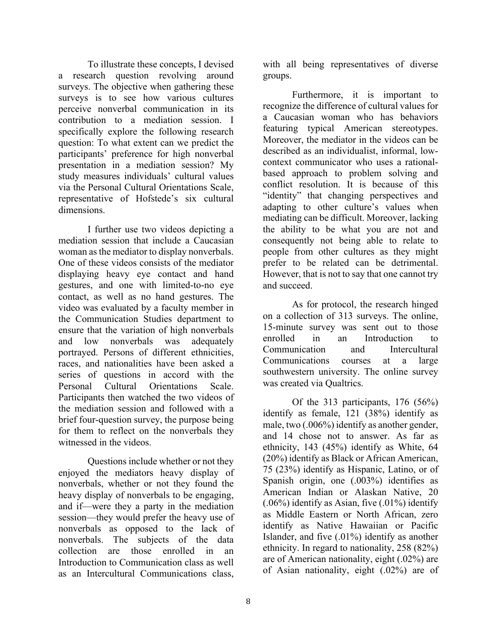To illustrate these concepts, I devised a research question revolving around surveys. The objective when gathering these surveys is to see how various cultures perceive nonverbal communication in its contribution to a mediation session. I specifically explore the following research question: To what extent can we predict the participants' preference for high nonverbal presentation in a mediation session? My study measures individuals' cultural values via the Personal Cultural Orientations Scale, representative of Hofstede's six cultural dimensions.

I further use two videos depicting a mediation session that include a Caucasian woman as the mediator to display nonverbals. One of these videos consists of the mediator displaying heavy eye contact and hand gestures, and one with limited-to-no eye contact, as well as no hand gestures. The video was evaluated by a faculty member in the Communication Studies department to ensure that the variation of high nonverbals and low nonverbals was adequately portrayed. Persons of different ethnicities, races, and nationalities have been asked a series of questions in accord with the Personal Cultural Orientations Scale. Participants then watched the two videos of the mediation session and followed with a brief four-question survey, the purpose being for them to reflect on the nonverbals they witnessed in the videos.

Questions include whether or not they enjoyed the mediators heavy display of nonverbals, whether or not they found the heavy display of nonverbals to be engaging, and if—were they a party in the mediation session—they would prefer the heavy use of nonverbals as opposed to the lack of nonverbals. The subjects of the data collection are those enrolled in an Introduction to Communication class as well as an Intercultural Communications class,

with all being representatives of diverse groups.

Furthermore, it is important to recognize the difference of cultural values for a Caucasian woman who has behaviors featuring typical American stereotypes. Moreover, the mediator in the videos can be described as an individualist, informal, lowcontext communicator who uses a rationalbased approach to problem solving and conflict resolution. It is because of this "identity" that changing perspectives and adapting to other culture's values when mediating can be difficult. Moreover, lacking the ability to be what you are not and consequently not being able to relate to people from other cultures as they might prefer to be related can be detrimental. However, that is not to say that one cannot try and succeed.

As for protocol, the research hinged on a collection of 313 surveys. The online, 15-minute survey was sent out to those enrolled in an Introduction to Communication and Intercultural Communications courses at a large southwestern university. The online survey was created via Qualtrics.

Of the 313 participants, 176 (56%) identify as female, 121 (38%) identify as male, two (.006%) identify as another gender, and 14 chose not to answer. As far as ethnicity, 143 (45%) identify as White, 64 (20%) identify as Black or African American, 75 (23%) identify as Hispanic, Latino, or of Spanish origin, one (.003%) identifies as American Indian or Alaskan Native, 20 (.06%) identify as Asian, five (.01%) identify as Middle Eastern or North African, zero identify as Native Hawaiian or Pacific Islander, and five (.01%) identify as another ethnicity. In regard to nationality, 258 (82%) are of American nationality, eight (.02%) are of Asian nationality, eight (.02%) are of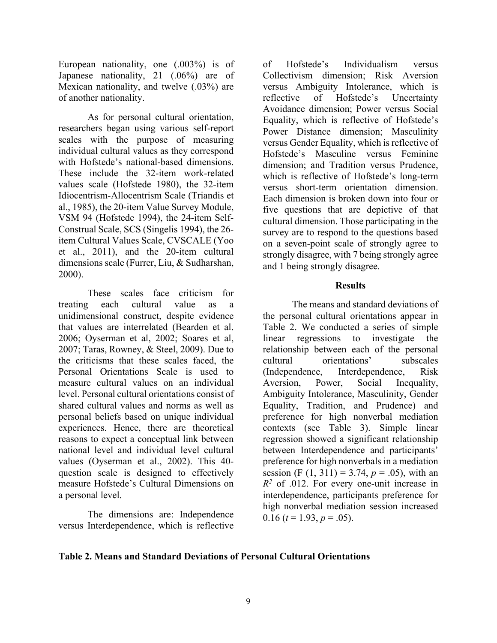European nationality, one (.003%) is of Japanese nationality, 21 (.06%) are of Mexican nationality, and twelve (.03%) are of another nationality.

As for personal cultural orientation, researchers began using various self-report scales with the purpose of measuring individual cultural values as they correspond with Hofstede's national-based dimensions. These include the 32-item work-related values scale (Hofstede 1980), the 32-item Idiocentrism-Allocentrism Scale (Triandis et al., 1985), the 20-item Value Survey Module, VSM 94 (Hofstede 1994), the 24-item Self-Construal Scale, SCS (Singelis 1994), the 26 item Cultural Values Scale, CVSCALE (Yoo et al., 2011), and the 20-item cultural dimensions scale (Furrer, Liu, & Sudharshan, 2000).

These scales face criticism for treating each cultural value as a unidimensional construct, despite evidence that values are interrelated (Bearden et al. 2006; Oyserman et al, 2002; Soares et al, 2007; Taras, Rowney, & Steel, 2009). Due to the criticisms that these scales faced, the Personal Orientations Scale is used to measure cultural values on an individual level. Personal cultural orientations consist of shared cultural values and norms as well as personal beliefs based on unique individual experiences. Hence, there are theoretical reasons to expect a conceptual link between national level and individual level cultural values (Oyserman et al., 2002). This 40 question scale is designed to effectively measure Hofstede's Cultural Dimensions on a personal level.

The dimensions are: Independence versus Interdependence, which is reflective

of Hofstede's Individualism versus Collectivism dimension; Risk Aversion versus Ambiguity Intolerance, which is reflective of Hofstede's Uncertainty Avoidance dimension; Power versus Social Equality, which is reflective of Hofstede's Power Distance dimension; Masculinity versus Gender Equality, which is reflective of Hofstede's Masculine versus Feminine dimension; and Tradition versus Prudence, which is reflective of Hofstede's long-term versus short-term orientation dimension. Each dimension is broken down into four or five questions that are depictive of that cultural dimension. Those participating in the survey are to respond to the questions based on a seven-point scale of strongly agree to strongly disagree, with 7 being strongly agree and 1 being strongly disagree.

# **Results**

The means and standard deviations of the personal cultural orientations appear in Table 2. We conducted a series of simple linear regressions to investigate the relationship between each of the personal cultural orientations' subscales (Independence, Interdependence, Risk Aversion, Power, Social Inequality, Ambiguity Intolerance, Masculinity, Gender Equality, Tradition, and Prudence) and preference for high nonverbal mediation contexts (see Table 3). Simple linear regression showed a significant relationship between Interdependence and participants' preference for high nonverbals in a mediation session (F  $(1, 311) = 3.74$ ,  $p = .05$ ), with an *R2* of .012. For every one-unit increase in interdependence, participants preference for high nonverbal mediation session increased 0.16 ( $t = 1.93$ ,  $p = .05$ ).

# **Table 2. Means and Standard Deviations of Personal Cultural Orientations**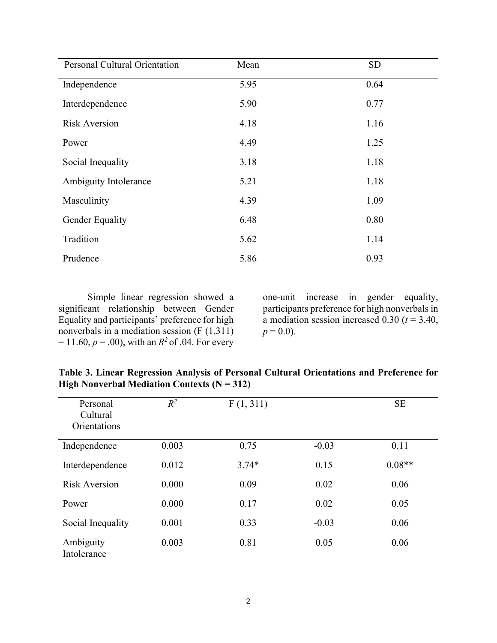| <b>Personal Cultural Orientation</b> | Mean | <b>SD</b> |
|--------------------------------------|------|-----------|
| Independence                         | 5.95 | 0.64      |
| Interdependence                      | 5.90 | 0.77      |
| <b>Risk Aversion</b>                 | 4.18 | 1.16      |
| Power                                | 4.49 | 1.25      |
| Social Inequality                    | 3.18 | 1.18      |
| Ambiguity Intolerance                | 5.21 | 1.18      |
| Masculinity                          | 4.39 | 1.09      |
| Gender Equality                      | 6.48 | 0.80      |
| Tradition                            | 5.62 | 1.14      |
| Prudence                             | 5.86 | 0.93      |

Simple linear regression showed a significant relationship between Gender Equality and participants' preference for high nonverbals in a mediation session (F (1,311)  $= 11.60, p = .00$ , with an  $R^2$  of .04. For every

one-unit increase in gender equality, participants preference for high nonverbals in a mediation session increased  $0.30$  ( $t = 3.40$ ,  $p = 0.0$ ).

| Personal                 | $R^2$ | F(1, 311) |         | <b>SE</b> |
|--------------------------|-------|-----------|---------|-----------|
| Cultural                 |       |           |         |           |
| Orientations             |       |           |         |           |
|                          |       |           |         |           |
| Independence             | 0.003 | 0.75      | $-0.03$ | 0.11      |
| Interdependence          | 0.012 | $3.74*$   | 0.15    | $0.08**$  |
| <b>Risk Aversion</b>     | 0.000 | 0.09      | 0.02    | 0.06      |
| Power                    | 0.000 | 0.17      | 0.02    | 0.05      |
| Social Inequality        | 0.001 | 0.33      | $-0.03$ | 0.06      |
| Ambiguity<br>Intolerance | 0.003 | 0.81      | 0.05    | 0.06      |

**Table 3. Linear Regression Analysis of Personal Cultural Orientations and Preference for High Nonverbal Mediation Contexts (N = 312)**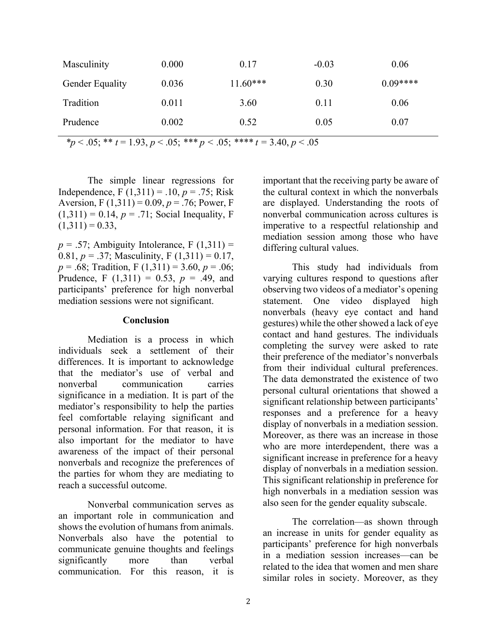| Masculinity            | 0.000 | 0.17       | $-0.03$ | 0.06      |
|------------------------|-------|------------|---------|-----------|
| <b>Gender Equality</b> | 0.036 | $11.60***$ | 0.30    | $0.09***$ |
| Tradition              | 0.011 | 3.60       | 0.11    | 0.06      |
| Prudence               | 0.002 | 0.52       | 0.05    | 0.07      |

 $**p* < .05; ** *t* = 1.93, *p* < .05; *** *p* < .05; *** *t* = 3.40, *p* < .05$ 

The simple linear regressions for Independence, F  $(1,311) = .10, p = .75$ ; Risk Aversion, F (1,311) = 0.09, *p* = .76; Power, F  $(1,311) = 0.14, p = .71$ ; Social Inequality, F  $(1,311) = 0.33$ ,

 $p = .57$ ; Ambiguity Intolerance, F  $(1,311) =$ 0.81,  $p = .37$ ; Masculinity, F (1,311) = 0.17, *p* = .68; Tradition, F (1,311) = 3.60, *p* = .06; Prudence, F  $(1,311) = 0.53$ ,  $p = .49$ , and participants' preference for high nonverbal mediation sessions were not significant.

#### **Conclusion**

Mediation is a process in which individuals seek a settlement of their differences. It is important to acknowledge that the mediator's use of verbal and nonverbal communication carries significance in a mediation. It is part of the mediator's responsibility to help the parties feel comfortable relaying significant and personal information. For that reason, it is also important for the mediator to have awareness of the impact of their personal nonverbals and recognize the preferences of the parties for whom they are mediating to reach a successful outcome.

Nonverbal communication serves as an important role in communication and shows the evolution of humans from animals. Nonverbals also have the potential to communicate genuine thoughts and feelings significantly more than verbal communication. For this reason, it is

important that the receiving party be aware of the cultural context in which the nonverbals are displayed. Understanding the roots of nonverbal communication across cultures is imperative to a respectful relationship and mediation session among those who have differing cultural values.

This study had individuals from varying cultures respond to questions after observing two videos of a mediator's opening statement. One video displayed high nonverbals (heavy eye contact and hand gestures) while the other showed a lack of eye contact and hand gestures. The individuals completing the survey were asked to rate their preference of the mediator's nonverbals from their individual cultural preferences. The data demonstrated the existence of two personal cultural orientations that showed a significant relationship between participants' responses and a preference for a heavy display of nonverbals in a mediation session. Moreover, as there was an increase in those who are more interdependent, there was a significant increase in preference for a heavy display of nonverbals in a mediation session. This significant relationship in preference for high nonverbals in a mediation session was also seen for the gender equality subscale.

The correlation—as shown through an increase in units for gender equality as participants' preference for high nonverbals in a mediation session increases—can be related to the idea that women and men share similar roles in society. Moreover, as they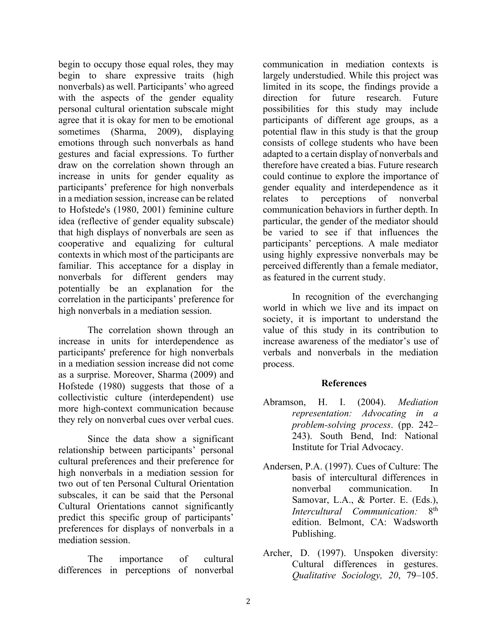begin to occupy those equal roles, they may begin to share expressive traits (high nonverbals) as well. Participants' who agreed with the aspects of the gender equality personal cultural orientation subscale might agree that it is okay for men to be emotional sometimes (Sharma, 2009), displaying emotions through such nonverbals as hand gestures and facial expressions. To further draw on the correlation shown through an increase in units for gender equality as participants' preference for high nonverbals in a mediation session, increase can be related to Hofstede's (1980, 2001) feminine culture idea (reflective of gender equality subscale) that high displays of nonverbals are seen as cooperative and equalizing for cultural contexts in which most of the participants are familiar. This acceptance for a display in nonverbals for different genders may potentially be an explanation for the correlation in the participants' preference for high nonverbals in a mediation session.

The correlation shown through an increase in units for interdependence as participants' preference for high nonverbals in a mediation session increase did not come as a surprise. Moreover, Sharma (2009) and Hofstede (1980) suggests that those of a collectivistic culture (interdependent) use more high-context communication because they rely on nonverbal cues over verbal cues.

Since the data show a significant relationship between participants' personal cultural preferences and their preference for high nonverbals in a mediation session for two out of ten Personal Cultural Orientation subscales, it can be said that the Personal Cultural Orientations cannot significantly predict this specific group of participants' preferences for displays of nonverbals in a mediation session.

The importance of cultural differences in perceptions of nonverbal communication in mediation contexts is largely understudied. While this project was limited in its scope, the findings provide a direction for future research. Future possibilities for this study may include participants of different age groups, as a potential flaw in this study is that the group consists of college students who have been adapted to a certain display of nonverbals and therefore have created a bias. Future research could continue to explore the importance of gender equality and interdependence as it relates to perceptions of nonverbal communication behaviors in further depth. In particular, the gender of the mediator should be varied to see if that influences the participants' perceptions. A male mediator using highly expressive nonverbals may be perceived differently than a female mediator, as featured in the current study.

In recognition of the everchanging world in which we live and its impact on society, it is important to understand the value of this study in its contribution to increase awareness of the mediator's use of verbals and nonverbals in the mediation process.

# **References**

- Abramson, H. I. (2004). *Mediation representation: Advocating in a problem-solving process*. (pp. 242– 243). South Bend, Ind: National Institute for Trial Advocacy.
- Andersen, P.A. (1997). Cues of Culture: The basis of intercultural differences in nonverbal communication. In Samovar, L.A., & Porter. E. (Eds.), *Intercultural Communication:* 8th edition. Belmont, CA: Wadsworth Publishing.
- Archer, D. (1997). Unspoken diversity: Cultural differences in gestures. *Qualitative Sociology, 20*, 79–105.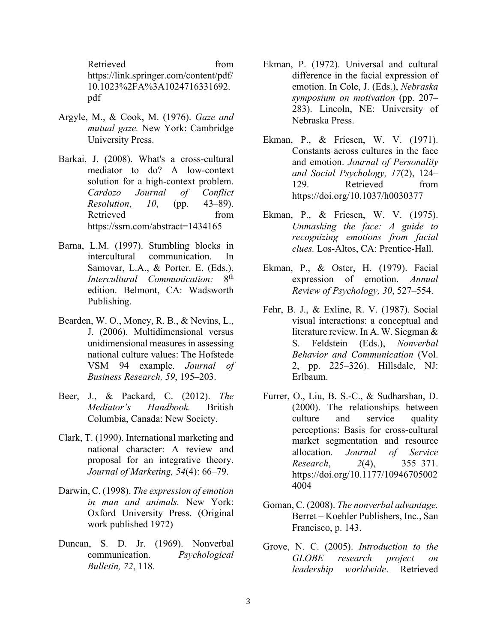Retrieved from https://link.springer.com/content/pdf/ 10.1023%2FA%3A1024716331692. pdf

- Argyle, M., & Cook, M. (1976). *Gaze and mutual gaze.* New York: Cambridge University Press.
- Barkai, J. (2008). What's a cross-cultural mediator to do? A low-context solution for a high-context problem. *Cardozo Journal of Conflict Resolution*, *10*, (pp. 43–89). Retrieved from https://ssrn.com/abstract=1434165
- Barna, L.M. (1997). Stumbling blocks in intercultural communication. In Samovar, L.A., & Porter. E. (Eds.),<br>Intercultural Communication: 8<sup>th</sup> *Intercultural Communication:* edition. Belmont, CA: Wadsworth Publishing.
- Bearden, W. O., Money, R. B., & Nevins, L., J. (2006). Multidimensional versus unidimensional measures in assessing national culture values: The Hofstede VSM 94 example. *Journal of Business Research, 59*, 195–203.
- Beer, J., & Packard, C. (2012). *The Mediator's Handbook.* British Columbia, Canada: New Society.
- Clark, T. (1990). International marketing and national character: A review and proposal for an integrative theory. *Journal of Marketing, 54*(4): 66–79.
- Darwin, C. (1998). *The expression of emotion in man and animals.* New York: Oxford University Press. (Original work published 1972)
- Duncan, S. D. Jr. (1969). Nonverbal communication. *Psychological Bulletin, 72*, 118.
- Ekman, P. (1972). Universal and cultural difference in the facial expression of emotion. In Cole, J. (Eds.), *Nebraska symposium on motivation* (pp. 207– 283). Lincoln, NE: University of Nebraska Press.
- Ekman, P., & Friesen, W. V. (1971). Constants across cultures in the face and emotion. *Journal of Personality and Social Psychology, 17*(2), 124– 129. Retrieved from https://doi.org/10.1037/h0030377
- Ekman, P., & Friesen, W. V. (1975). *Unmasking the face: A guide to recognizing emotions from facial clues.* Los-Altos, CA: Prentice-Hall.
- Ekman, P., & Oster, H. (1979). Facial expression of emotion. *Annual Review of Psychology, 30*, 527–554.
- Fehr, B. J., & Exline, R. V. (1987). Social visual interactions: a conceptual and literature review. In A. W. Siegman & S. Feldstein (Eds.), *Nonverbal Behavior and Communication* (Vol. 2, pp. 225–326). Hillsdale, NJ: Erlbaum.
- Furrer, O., Liu, B. S.-C., & Sudharshan, D. (2000). The relationships between culture and service quality perceptions: Basis for cross-cultural market segmentation and resource allocation. *Journal of Service Research*, *2*(4), 355–371. https://doi.org/10.1177/10946705002 4004
- Goman, C. (2008). *The nonverbal advantage.* Berret – Koehler Publishers, Inc., San Francisco, p. 143.
- Grove, N. C. (2005). *Introduction to the GLOBE research project on leadership worldwide*. Retrieved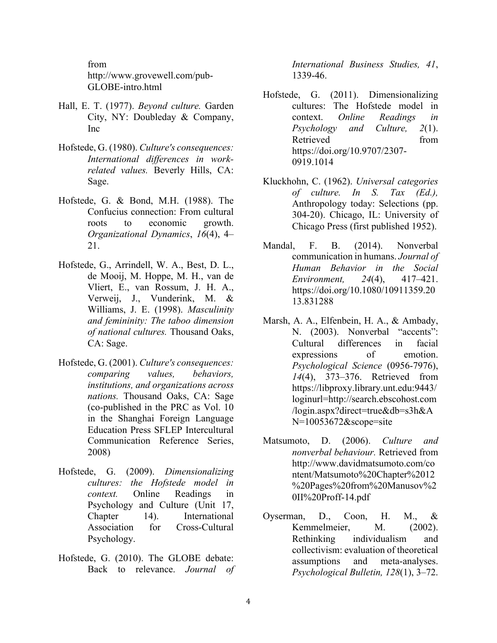from http://www.grovewell.com/pub-GLOBE-intro.html

- Hall, E. T. (1977). *Beyond culture.* Garden City, NY: Doubleday & Company, Inc
- Hofstede, G. (1980). *Culture's consequences: International differences in workrelated values.* Beverly Hills, CA: Sage.
- Hofstede, G. & Bond, M.H. (1988). The Confucius connection: From cultural roots to economic growth. *Organizational Dynamics*, *16*(4), 4– 21.
- Hofstede, G., Arrindell, W. A., Best, D. L., de Mooij, M. Hoppe, M. H., van de Vliert, E., van Rossum, J. H. A., Verweij, J., Vunderink, M. & Williams, J. E. (1998). *Masculinity and femininity: The taboo dimension of national cultures.* Thousand Oaks, CA: Sage.
- Hofstede, G. (2001). *Culture's consequences: comparing values, behaviors, institutions, and organizations across nations.* Thousand Oaks, CA: Sage (co-published in the PRC as Vol. 10 in the Shanghai Foreign Language Education Press SFLEP Intercultural Communication Reference Series, 2008)
- Hofstede, G. (2009). *Dimensionalizing cultures: the Hofstede model in context.* Online Readings in Psychology and Culture (Unit 17, Chapter 14). International Association for Cross-Cultural Psychology.
- Hofstede, G. (2010). The GLOBE debate: Back to relevance. *Journal of*

*International Business Studies, 41*, 1339-46.

- Hofstede, G. (2011). Dimensionalizing cultures: The Hofstede model in context. *Online Readings in Psychology and Culture, 2*(1). Retrieved from https://doi.org/10.9707/2307- 0919.1014
- Kluckhohn, C. (1962). *Universal categories of culture. In S. Tax (Ed.),*  Anthropology today: Selections (pp. 304-20). Chicago, IL: University of Chicago Press (first published 1952).
- Mandal, F. B. (2014). Nonverbal communication in humans. *Journal of Human Behavior in the Social Environment, 24*(4), 417–421. https://doi.org/10.1080/10911359.20 13.831288
- Marsh, A. A., Elfenbein, H. A., & Ambady, N. (2003). Nonverbal "accents": Cultural differences in facial expressions of emotion. *Psychological Science* (0956-7976), *14*(4), 373–376. Retrieved from https://libproxy.library.unt.edu:9443/ loginurl=http://search.ebscohost.com /login.aspx?direct=true&db=s3h&A N=10053672&scope=site
- Matsumoto, D. (2006). *Culture and nonverbal behaviour.* Retrieved from http://www.davidmatsumoto.com/co ntent/Matsumoto%20Chapter%2012 %20Pages%20from%20Manusov%2 0II%20Proff-14.pdf
- Oyserman, D., Coon, H. M., & Kemmelmeier, M. (2002). Rethinking individualism and collectivism: evaluation of theoretical assumptions and meta-analyses. *Psychological Bulletin, 128*(1), 3–72.